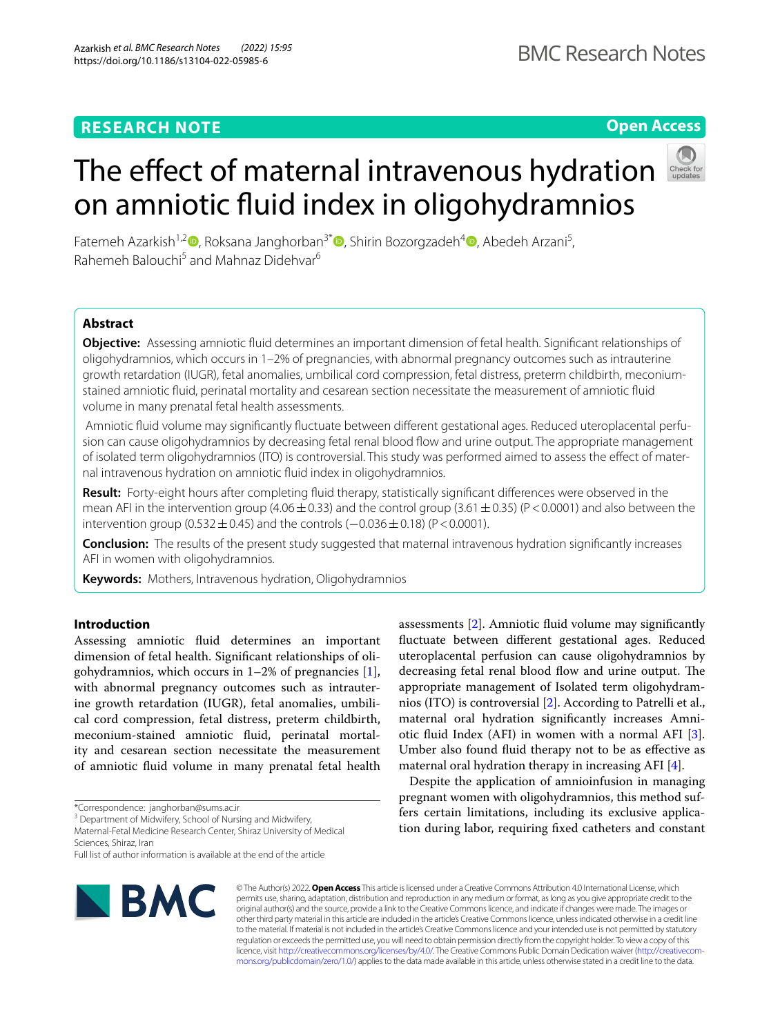# **RESEARCH NOTE**

# **Open Access**

Fatemeh Azarkish<sup>1,[2](http://orcid.org/0000-0003-4496-172X)</sup> [,](http://orcid.org/0000-0002-7831-8401) Roksana Janghorban<sup>3\*</sup> [,](http://orcid.org/0000-0002-1184-4431) Shirin Bozorgzadeh<sup>4</sup> , Abedeh Arzani<sup>5</sup>, Rahemeh Balouchi<sup>5</sup> and Mahnaz Didehvar<sup>6</sup>

The effect of maternal intravenous hydration

on amniotic fuid index in oligohydramnios

# **Abstract**

**Objective:** Assessing amniotic fuid determines an important dimension of fetal health. Signifcant relationships of oligohydramnios, which occurs in 1–2% of pregnancies, with abnormal pregnancy outcomes such as intrauterine growth retardation (IUGR), fetal anomalies, umbilical cord compression, fetal distress, preterm childbirth, meconiumstained amniotic fuid, perinatal mortality and cesarean section necessitate the measurement of amniotic fuid volume in many prenatal fetal health assessments.

 Amniotic fuid volume may signifcantly fuctuate between diferent gestational ages. Reduced uteroplacental perfusion can cause oligohydramnios by decreasing fetal renal blood fow and urine output. The appropriate management of isolated term oligohydramnios (ITO) is controversial. This study was performed aimed to assess the efect of maternal intravenous hydration on amniotic fuid index in oligohydramnios.

**Result:** Forty-eight hours after completing fuid therapy, statistically signifcant diferences were observed in the mean AFI in the intervention group (4.06  $\pm$  0.33) and the control group (3.61  $\pm$  0.35) (P < 0.0001) and also between the intervention group (0.532 $\pm$ 0.45) and the controls (-0.036 $\pm$ 0.18) (P < 0.0001).

**Conclusion:** The results of the present study suggested that maternal intravenous hydration signifcantly increases AFI in women with oligohydramnios.

**Keywords:** Mothers, Intravenous hydration, Oligohydramnios

# **Introduction**

Assessing amniotic fuid determines an important dimension of fetal health. Signifcant relationships of oligohydramnios, which occurs in  $1-2\%$  of pregnancies [\[1](#page-4-0)], with abnormal pregnancy outcomes such as intrauterine growth retardation (IUGR), fetal anomalies, umbilical cord compression, fetal distress, preterm childbirth, meconium-stained amniotic fuid, perinatal mortality and cesarean section necessitate the measurement of amniotic fuid volume in many prenatal fetal health

\*Correspondence: janghorban@sums.ac.ir

<sup>3</sup> Department of Midwifery, School of Nursing and Midwifery,

Maternal-Fetal Medicine Research Center, Shiraz University of Medical Sciences, Shiraz, Iran

**BMC** 

assessments [\[2](#page-4-1)]. Amniotic fuid volume may signifcantly fuctuate between diferent gestational ages. Reduced uteroplacental perfusion can cause oligohydramnios by decreasing fetal renal blood flow and urine output. The appropriate management of Isolated term oligohydramnios (ITO) is controversial [[2\]](#page-4-1). According to Patrelli et al., maternal oral hydration signifcantly increases Amniotic fuid Index (AFI) in women with a normal AFI [\[3](#page-4-2)]. Umber also found fuid therapy not to be as efective as maternal oral hydration therapy in increasing AFI [[4\]](#page-4-3).

Despite the application of amnioinfusion in managing pregnant women with oligohydramnios, this method suffers certain limitations, including its exclusive application during labor, requiring fxed catheters and constant

© The Author(s) 2022. **Open Access** This article is licensed under a Creative Commons Attribution 4.0 International License, which permits use, sharing, adaptation, distribution and reproduction in any medium or format, as long as you give appropriate credit to the original author(s) and the source, provide a link to the Creative Commons licence, and indicate if changes were made. The images or other third party material in this article are included in the article's Creative Commons licence, unless indicated otherwise in a credit line to the material. If material is not included in the article's Creative Commons licence and your intended use is not permitted by statutory regulation or exceeds the permitted use, you will need to obtain permission directly from the copyright holder. To view a copy of this licence, visit [http://creativecommons.org/licenses/by/4.0/.](http://creativecommons.org/licenses/by/4.0/) The Creative Commons Public Domain Dedication waiver ([http://creativecom](http://creativecommons.org/publicdomain/zero/1.0/)[mons.org/publicdomain/zero/1.0/\)](http://creativecommons.org/publicdomain/zero/1.0/) applies to the data made available in this article, unless otherwise stated in a credit line to the data.

Full list of author information is available at the end of the article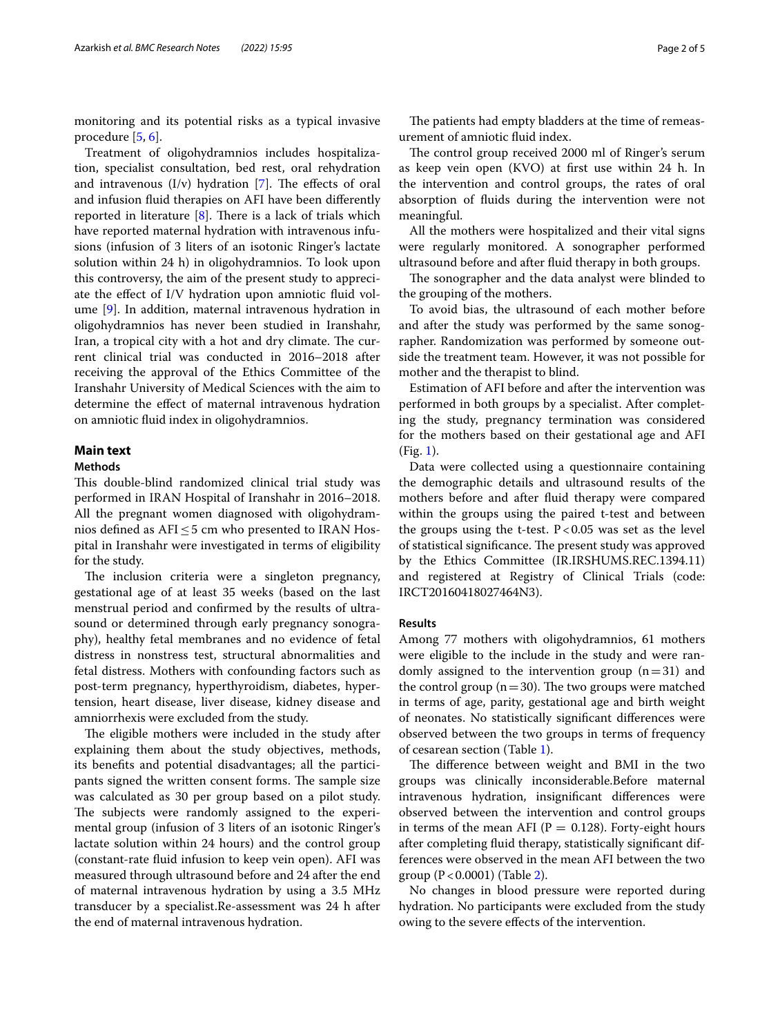monitoring and its potential risks as a typical invasive procedure [\[5](#page-4-4), [6](#page-4-5)].

Treatment of oligohydramnios includes hospitalization, specialist consultation, bed rest, oral rehydration and intravenous  $(I/v)$  hydration [[7](#page-4-6)]. The effects of oral and infusion fuid therapies on AFI have been diferently reported in literature  $[8]$  $[8]$ . There is a lack of trials which have reported maternal hydration with intravenous infusions (infusion of 3 liters of an isotonic Ringer's lactate solution within 24 h) in oligohydramnios. To look upon this controversy, the aim of the present study to appreciate the efect of I/V hydration upon amniotic fuid volume [\[9](#page-4-8)]. In addition, maternal intravenous hydration in oligohydramnios has never been studied in Iranshahr, Iran, a tropical city with a hot and dry climate. The current clinical trial was conducted in 2016–2018 after receiving the approval of the Ethics Committee of the Iranshahr University of Medical Sciences with the aim to determine the efect of maternal intravenous hydration on amniotic fuid index in oligohydramnios.

# **Main text**

# **Methods**

This double-blind randomized clinical trial study was performed in IRAN Hospital of Iranshahr in 2016–2018. All the pregnant women diagnosed with oligohydramnios defined as  $AFI \leq 5$  cm who presented to IRAN Hospital in Iranshahr were investigated in terms of eligibility for the study.

The inclusion criteria were a singleton pregnancy, gestational age of at least 35 weeks (based on the last menstrual period and confrmed by the results of ultrasound or determined through early pregnancy sonography), healthy fetal membranes and no evidence of fetal distress in nonstress test, structural abnormalities and fetal distress. Mothers with confounding factors such as post-term pregnancy, hyperthyroidism, diabetes, hypertension, heart disease, liver disease, kidney disease and amniorrhexis were excluded from the study.

The eligible mothers were included in the study after explaining them about the study objectives, methods, its benefts and potential disadvantages; all the participants signed the written consent forms. The sample size was calculated as 30 per group based on a pilot study. The subjects were randomly assigned to the experimental group (infusion of 3 liters of an isotonic Ringer's lactate solution within 24 hours) and the control group (constant-rate fuid infusion to keep vein open). AFI was measured through ultrasound before and 24 after the end of maternal intravenous hydration by using a 3.5 MHz transducer by a specialist.Re-assessment was 24 h after the end of maternal intravenous hydration.

The patients had empty bladders at the time of remeasurement of amniotic fuid index.

The control group received 2000 ml of Ringer's serum as keep vein open (KVO) at frst use within 24 h. In the intervention and control groups, the rates of oral absorption of fuids during the intervention were not meaningful.

All the mothers were hospitalized and their vital signs were regularly monitored. A sonographer performed ultrasound before and after fuid therapy in both groups.

The sonographer and the data analyst were blinded to the grouping of the mothers.

To avoid bias, the ultrasound of each mother before and after the study was performed by the same sonographer. Randomization was performed by someone outside the treatment team. However, it was not possible for mother and the therapist to blind.

Estimation of AFI before and after the intervention was performed in both groups by a specialist. After completing the study, pregnancy termination was considered for the mothers based on their gestational age and AFI (Fig. [1\)](#page-2-0).

Data were collected using a questionnaire containing the demographic details and ultrasound results of the mothers before and after fuid therapy were compared within the groups using the paired t-test and between the groups using the t-test.  $P < 0.05$  was set as the level of statistical significance. The present study was approved by the Ethics Committee (IR.IRSHUMS.REC.1394.11) and registered at Registry of Clinical Trials (code: IRCT20160418027464N3).

#### **Results**

Among 77 mothers with oligohydramnios, 61 mothers were eligible to the include in the study and were randomly assigned to the intervention group  $(n=31)$  and the control group ( $n=30$ ). The two groups were matched in terms of age, parity, gestational age and birth weight of neonates. No statistically signifcant diferences were observed between the two groups in terms of frequency of cesarean section (Table [1](#page-2-1)).

The difference between weight and BMI in the two groups was clinically inconsiderable.Before maternal intravenous hydration, insignifcant diferences were observed between the intervention and control groups in terms of the mean AFI ( $P = 0.128$ ). Forty-eight hours after completing fuid therapy, statistically signifcant differences were observed in the mean AFI between the two group (P<0.0001) (Table [2\)](#page-3-0).

No changes in blood pressure were reported during hydration. No participants were excluded from the study owing to the severe efects of the intervention.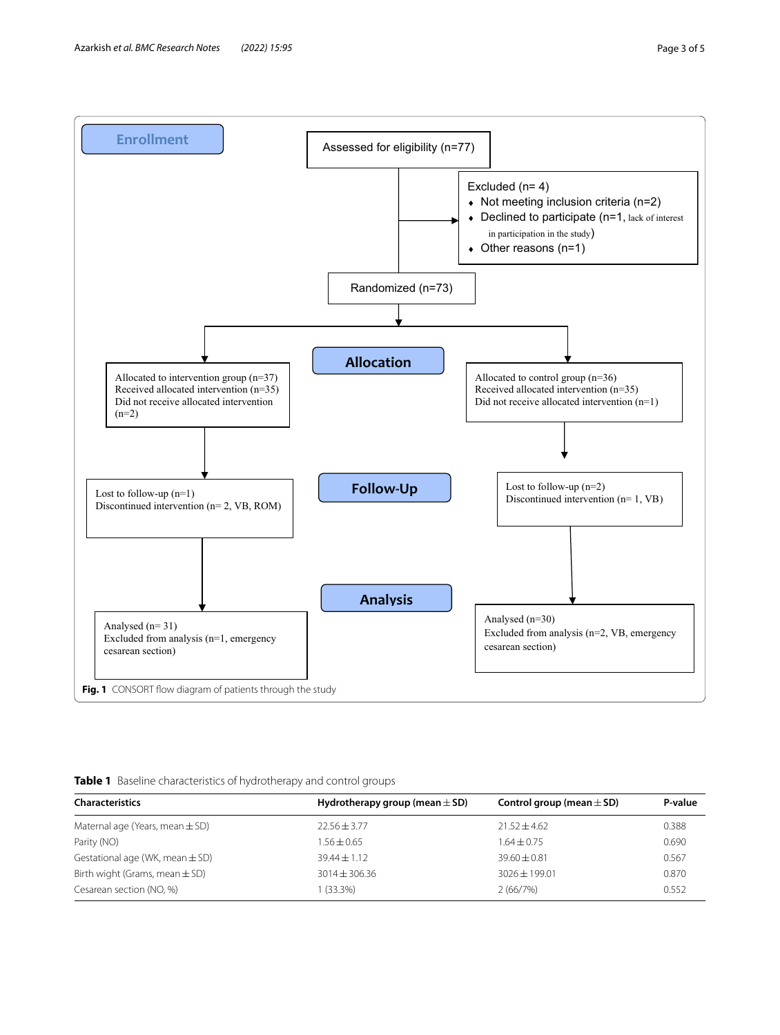

<span id="page-2-1"></span><span id="page-2-0"></span>**Table 1** Baseline characteristics of hydrotherapy and control groups

| <b>Characteristics</b>              | Hydrotherapy group (mean $\pm$ SD) | Control group (mean $\pm$ SD) |       |
|-------------------------------------|------------------------------------|-------------------------------|-------|
| Maternal age (Years, mean $\pm$ SD) | $22.56 \pm 3.77$                   | $21.52 + 4.62$                | 0.388 |
| Parity (NO)                         | $1.56 \pm 0.65$                    | $1.64 + 0.75$                 | 0.690 |
| Gestational age (WK, mean $\pm$ SD) | $39.44 \pm 1.12$                   | $39.60 + 0.81$                | 0.567 |
| Birth wight (Grams, mean $\pm$ SD)  | $3014 \pm 306.36$                  | $3026 + 199.01$               | 0.870 |
| Cesarean section (NO, %)            | $(33.3\%)$                         | 2(66/7%)                      | 0.552 |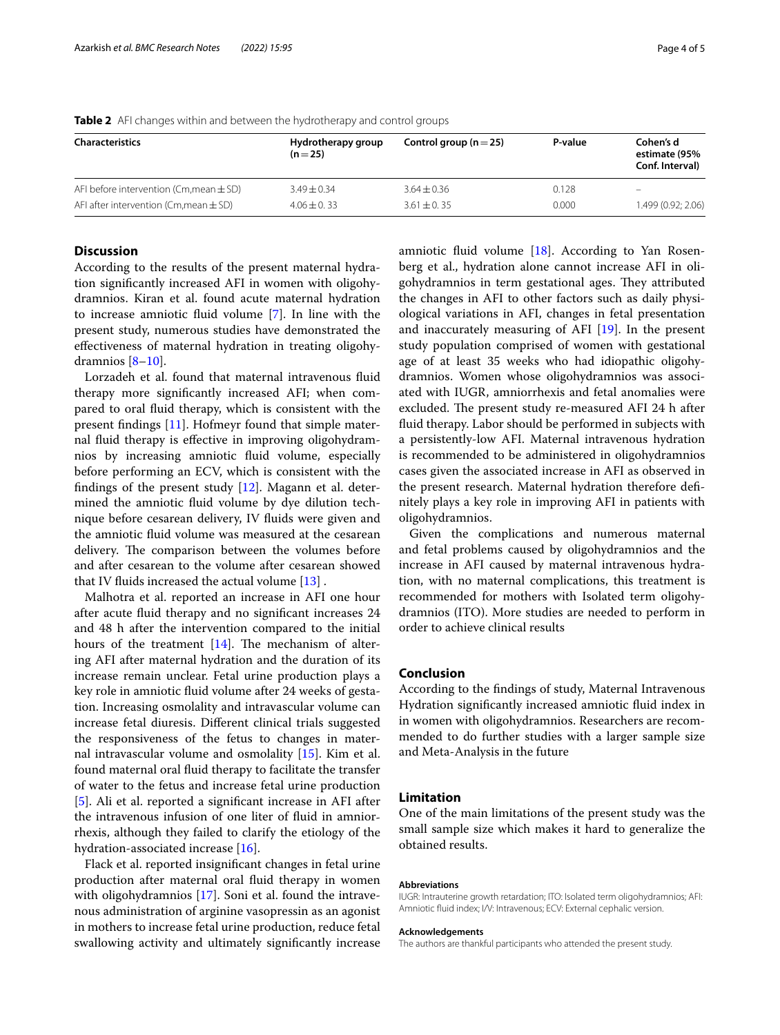| <b>Characteristics</b>                      | Hydrotherapy group<br>$(n=25)$ | Control group ( $n = 25$ ) | P-value | Cohen's d<br>estimate (95%<br>Conf. Interval) |
|---------------------------------------------|--------------------------------|----------------------------|---------|-----------------------------------------------|
| AFI before intervention (Cm, mean $\pm$ SD) | $3.49 \pm 0.34$                | $3.64 \pm 0.36$            | 0.128   | –                                             |
| AFI after intervention (Cm, mean $\pm$ SD)  | $4.06 \pm 0.33$                | $3.61 \pm 0.35$            | 0.000   | 1.499 (0.92; 2.06)                            |

<span id="page-3-0"></span>**Table 2** AFI changes within and between the hydrotherapy and control groups

#### **Discussion**

According to the results of the present maternal hydration signifcantly increased AFI in women with oligohydramnios. Kiran et al. found acute maternal hydration to increase amniotic fuid volume [\[7](#page-4-6)]. In line with the present study, numerous studies have demonstrated the efectiveness of maternal hydration in treating oligohydramnios [\[8–](#page-4-7)[10\]](#page-4-9).

Lorzadeh et al. found that maternal intravenous fluid therapy more signifcantly increased AFI; when compared to oral fuid therapy, which is consistent with the present fndings [\[11\]](#page-4-10). Hofmeyr found that simple maternal fuid therapy is efective in improving oligohydramnios by increasing amniotic fuid volume, especially before performing an ECV, which is consistent with the fndings of the present study [\[12\]](#page-4-11). Magann et al. determined the amniotic fuid volume by dye dilution technique before cesarean delivery, IV fuids were given and the amniotic fuid volume was measured at the cesarean delivery. The comparison between the volumes before and after cesarean to the volume after cesarean showed that IV fluids increased the actual volume  $[13]$  $[13]$ .

Malhotra et al. reported an increase in AFI one hour after acute fuid therapy and no signifcant increases 24 and 48 h after the intervention compared to the initial hours of the treatment  $[14]$  $[14]$ . The mechanism of altering AFI after maternal hydration and the duration of its increase remain unclear. Fetal urine production plays a key role in amniotic fuid volume after 24 weeks of gestation. Increasing osmolality and intravascular volume can increase fetal diuresis. Diferent clinical trials suggested the responsiveness of the fetus to changes in maternal intravascular volume and osmolality [\[15](#page-4-14)]. Kim et al. found maternal oral fuid therapy to facilitate the transfer of water to the fetus and increase fetal urine production [[5\]](#page-4-4). Ali et al. reported a signifcant increase in AFI after the intravenous infusion of one liter of fuid in amniorrhexis, although they failed to clarify the etiology of the hydration-associated increase [[16](#page-4-15)].

Flack et al. reported insignifcant changes in fetal urine production after maternal oral fuid therapy in women with oligohydramnios [[17\]](#page-4-16). Soni et al. found the intravenous administration of arginine vasopressin as an agonist in mothers to increase fetal urine production, reduce fetal swallowing activity and ultimately signifcantly increase amniotic fuid volume [\[18](#page-4-17)]. According to Yan Rosenberg et al., hydration alone cannot increase AFI in oligohydramnios in term gestational ages. They attributed the changes in AFI to other factors such as daily physiological variations in AFI, changes in fetal presentation and inaccurately measuring of AFI [\[19\]](#page-4-18). In the present study population comprised of women with gestational age of at least 35 weeks who had idiopathic oligohydramnios. Women whose oligohydramnios was associated with IUGR, amniorrhexis and fetal anomalies were excluded. The present study re-measured AFI 24 h after fuid therapy. Labor should be performed in subjects with a persistently-low AFI. Maternal intravenous hydration is recommended to be administered in oligohydramnios cases given the associated increase in AFI as observed in the present research. Maternal hydration therefore defnitely plays a key role in improving AFI in patients with oligohydramnios.

Given the complications and numerous maternal and fetal problems caused by oligohydramnios and the increase in AFI caused by maternal intravenous hydration, with no maternal complications, this treatment is recommended for mothers with Isolated term oligohydramnios (ITO). More studies are needed to perform in order to achieve clinical results

## **Conclusion**

According to the fndings of study, Maternal Intravenous Hydration signifcantly increased amniotic fuid index in in women with oligohydramnios. Researchers are recommended to do further studies with a larger sample size and Meta-Analysis in the future

### **Limitation**

One of the main limitations of the present study was the small sample size which makes it hard to generalize the obtained results.

#### **Abbreviations**

IUGR: Intrauterine growth retardation; ITO: Isolated term oligohydramnios; AFI: Amniotic fuid index; I/V: Intravenous; ECV: External cephalic version.

#### **Acknowledgements**

The authors are thankful participants who attended the present study.